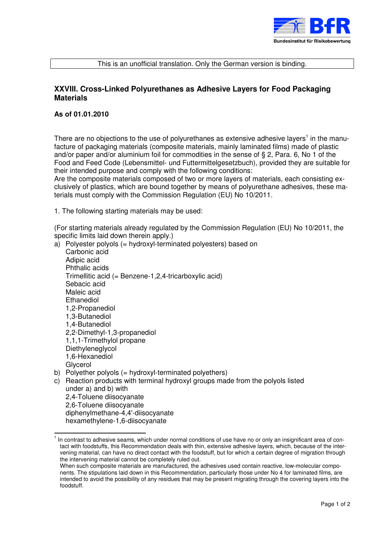

## This is an unofficial translation. Only the German version is binding.

## **XXVIII. Cross-Linked Polyurethanes as Adhesive Layers for Food Packaging Materials**

## **As of 01.01.2010**

There are no objections to the use of polyurethanes as extensive adhesive layers<sup>1</sup> in the manufacture of packaging materials (composite materials, mainly laminated films) made of plastic and/or paper and/or aluminium foil for commodities in the sense of § 2, Para. 6, No 1 of the Food and Feed Code (Lebensmittel- und Futtermittelgesetzbuch), provided they are suitable for their intended purpose and comply with the following conditions:

Are the composite materials composed of two or more layers of materials, each consisting exclusively of plastics, which are bound together by means of polyurethane adhesives, these materials must comply with the Commission Regulation (EU) No 10/2011.

1. The following starting materials may be used:

(For starting materials already regulated by the Commission Regulation (EU) No 10/2011, the specific limits laid down therein apply.)

a) Polyester polyols (= hydroxyl-terminated polyesters) based on Carbonic acid Adipic acid Phthalic acids Trimellitic acid (= Benzene-1,2,4-tricarboxylic acid) Sebacic acid Maleic acid Ethanediol 1,2-Propanediol 1,3-Butanediol 1,4-Butanediol 2,2-Dimethyl-1,3-propanediol 1,1,1-Trimethylol propane **Diethyleneglycol** 1,6-Hexanediol Glycerol b) Polyether polyols (= hydroxyl-terminated polyethers) c) Reaction products with terminal hydroxyl groups made from the polyols listed under a) and b) with

 2,4-Toluene diisocyanate 2,6-Toluene diisocyanate diphenylmethane-4,4'-diisocyanate hexamethylene-1,6-diisocyanate

**The contrast to adhesive seams, which under normal conditions of use have no or only an insignificant area of con-**<br>The contrast to adhesive seams, which under normal conditions of use have no or only an insignificant are tact with foodstuffs, this Recommendation deals with thin, extensive adhesive layers, which, because of the intervening material, can have no direct contact with the foodstuff, but for which a certain degree of migration through the intervening material cannot be completely ruled out.

When such composite materials are manufactured, the adhesives used contain reactive, low-molecular components. The stipulations laid down in this Recommendation, particularly those under No 4 for laminated films, are intended to avoid the possibility of any residues that may be present migrating through the covering layers into the foodstuff.